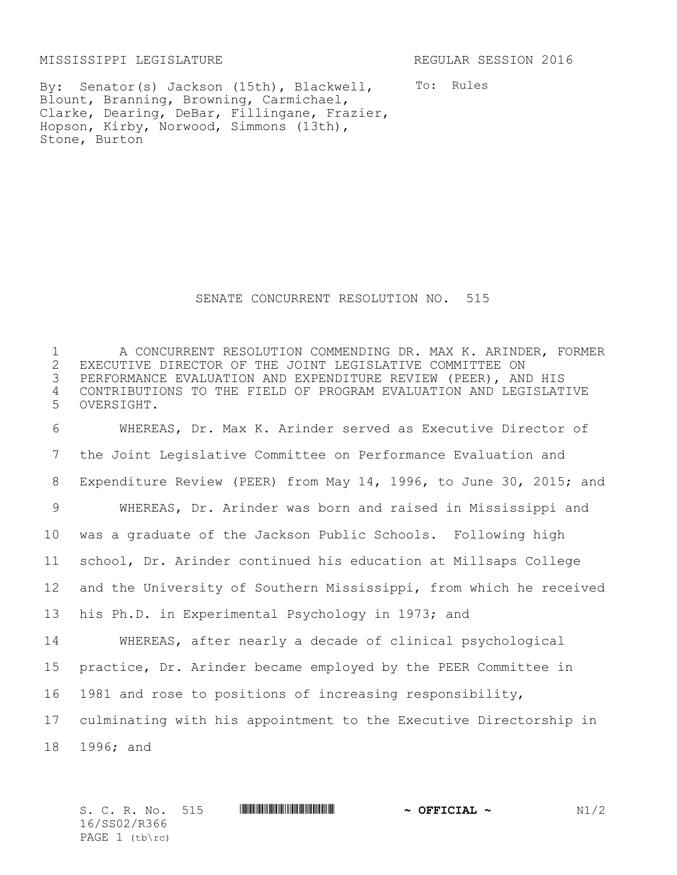MISSISSIPPI LEGISLATURE REGULAR SESSION 2016

To: Rules By: Senator(s) Jackson (15th), Blackwell, Blount, Branning, Browning, Carmichael, Clarke, Dearing, DeBar, Fillingane, Frazier, Hopson, Kirby, Norwood, Simmons (13th), Stone, Burton

## SENATE CONCURRENT RESOLUTION NO. 515

1 A CONCURRENT RESOLUTION COMMENDING DR. MAX K. ARINDER, FORMER<br>2 EXECUTIVE DIRECTOR OF THE JOINT LEGISLATIVE COMMITTEE ON 2 EXECUTIVE DIRECTOR OF THE JOINT LEGISLATIVE COMMITTEE ON<br>3 PERFORMANCE EVALUATION AND EXPENDITURE REVIEW (PEER), AN PERFORMANCE EVALUATION AND EXPENDITURE REVIEW (PEER), AND HIS 4 CONTRIBUTIONS TO THE FIELD OF PROGRAM EVALUATION AND LEGISLATIVE 5 OVERSIGHT.

 WHEREAS, Dr. Max K. Arinder served as Executive Director of the Joint Legislative Committee on Performance Evaluation and Expenditure Review (PEER) from May 14, 1996, to June 30, 2015; and WHEREAS, Dr. Arinder was born and raised in Mississippi and was a graduate of the Jackson Public Schools. Following high school, Dr. Arinder continued his education at Millsaps College and the University of Southern Mississippi, from which he received his Ph.D. in Experimental Psychology in 1973; and WHEREAS, after nearly a decade of clinical psychological practice, Dr. Arinder became employed by the PEER Committee in 1981 and rose to positions of increasing responsibility, culminating with his appointment to the Executive Directorship in

18 1996; and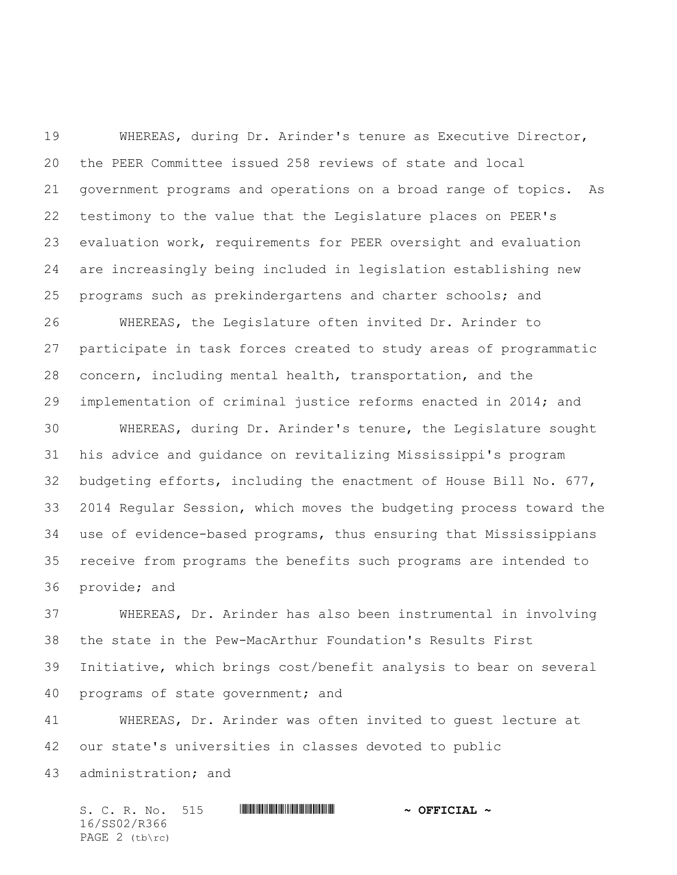WHEREAS, during Dr. Arinder's tenure as Executive Director, the PEER Committee issued 258 reviews of state and local government programs and operations on a broad range of topics. As testimony to the value that the Legislature places on PEER's evaluation work, requirements for PEER oversight and evaluation are increasingly being included in legislation establishing new programs such as prekindergartens and charter schools; and

 WHEREAS, the Legislature often invited Dr. Arinder to participate in task forces created to study areas of programmatic concern, including mental health, transportation, and the implementation of criminal justice reforms enacted in 2014; and

 WHEREAS, during Dr. Arinder's tenure, the Legislature sought his advice and guidance on revitalizing Mississippi's program budgeting efforts, including the enactment of House Bill No. 677, 2014 Regular Session, which moves the budgeting process toward the use of evidence-based programs, thus ensuring that Mississippians receive from programs the benefits such programs are intended to provide; and

 WHEREAS, Dr. Arinder has also been instrumental in involving the state in the Pew-MacArthur Foundation's Results First Initiative, which brings cost/benefit analysis to bear on several programs of state government; and

 WHEREAS, Dr. Arinder was often invited to guest lecture at our state's universities in classes devoted to public administration; and

 $S. C. R. No. 515$  **WITH FIGURE 4**  $\sim$  **OFFICIAL**  $\sim$ 16/SS02/R366 PAGE 2 (tb\rc)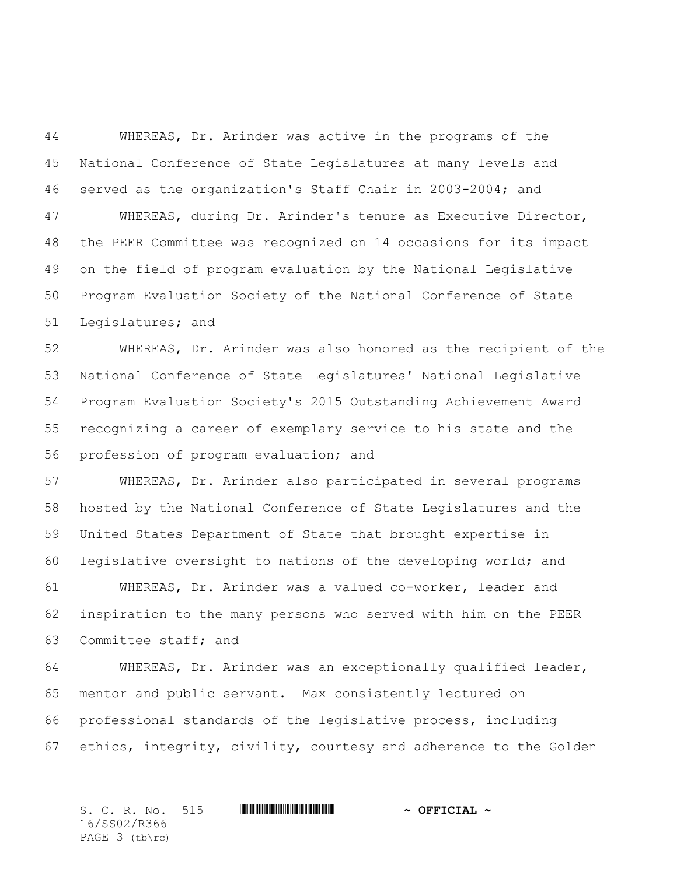WHEREAS, Dr. Arinder was active in the programs of the National Conference of State Legislatures at many levels and served as the organization's Staff Chair in 2003-2004; and WHEREAS, during Dr. Arinder's tenure as Executive Director, the PEER Committee was recognized on 14 occasions for its impact on the field of program evaluation by the National Legislative Program Evaluation Society of the National Conference of State Legislatures; and

 WHEREAS, Dr. Arinder was also honored as the recipient of the National Conference of State Legislatures' National Legislative Program Evaluation Society's 2015 Outstanding Achievement Award recognizing a career of exemplary service to his state and the profession of program evaluation; and

 WHEREAS, Dr. Arinder also participated in several programs hosted by the National Conference of State Legislatures and the United States Department of State that brought expertise in legislative oversight to nations of the developing world; and WHEREAS, Dr. Arinder was a valued co-worker, leader and

 inspiration to the many persons who served with him on the PEER Committee staff; and

 WHEREAS, Dr. Arinder was an exceptionally qualified leader, mentor and public servant. Max consistently lectured on professional standards of the legislative process, including ethics, integrity, civility, courtesy and adherence to the Golden